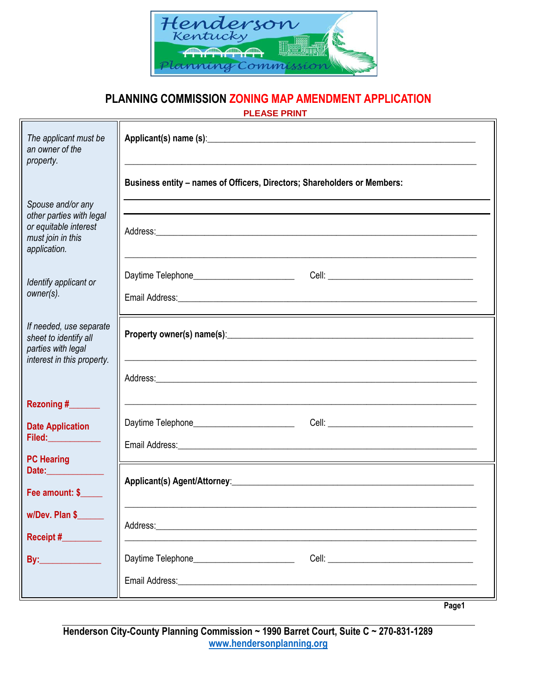

## **PLANNING COMMISSION ZONING MAP AMENDMENT APPLICATION**

 **PLEASE PRINT**

| The applicant must be<br>an owner of the<br>property.                                                       |                                                                                                                                                                         |  |
|-------------------------------------------------------------------------------------------------------------|-------------------------------------------------------------------------------------------------------------------------------------------------------------------------|--|
|                                                                                                             | Business entity - names of Officers, Directors; Shareholders or Members:                                                                                                |  |
| Spouse and/or any<br>other parties with legal<br>or equitable interest<br>must join in this<br>application. |                                                                                                                                                                         |  |
| Identify applicant or<br>owner(s).                                                                          |                                                                                                                                                                         |  |
| If needed, use separate<br>sheet to identify all<br>parties with legal<br>interest in this property.        |                                                                                                                                                                         |  |
|                                                                                                             |                                                                                                                                                                         |  |
| Rezoning #_______                                                                                           |                                                                                                                                                                         |  |
| <b>Date Application</b><br>Filed: ____________                                                              |                                                                                                                                                                         |  |
| <b>PC Hearing</b><br>Date:______________<br>Fee amount: \$                                                  | Applicant(s) Agent/Attorney: Manual Communication of the Applicant Communication of the Applicant Communication                                                         |  |
| w/Dev. Plan \$<br>Receipt #                                                                                 |                                                                                                                                                                         |  |
| <b>By:______________</b>                                                                                    | Daytime Telephone_____________________________<br>Cell: <u>Alexander Alexander Alexander Alexander Alexander Alexander Alexander Alexander Alexander Alexander Alex</u> |  |
|                                                                                                             |                                                                                                                                                                         |  |
|                                                                                                             | Page1                                                                                                                                                                   |  |

**Henderson City-County Planning Commission ~ 1990 Barret Court, Suite C ~ 270-831-1289 [www.hendersonplanning.org](http://www.hendersonplanning.org/)**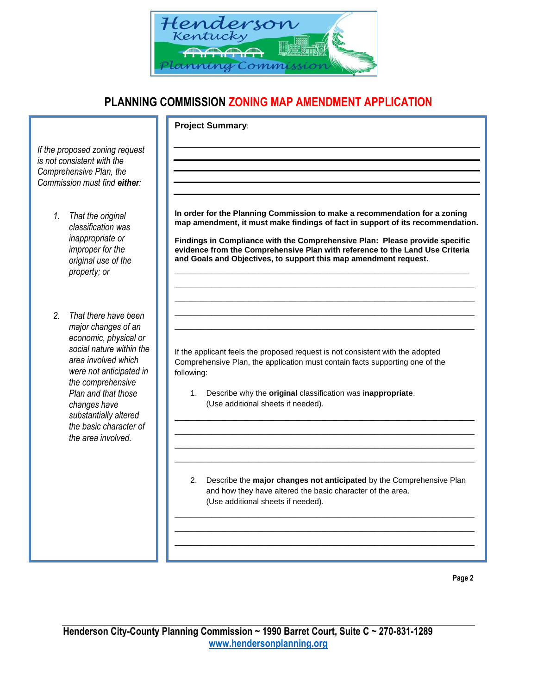

## **PLANNING COMMISSION ZONING MAP AMENDMENT APPLICATION**

**Project Summary**:

*If the proposed zoning request is not consistent with the Comprehensive Plan, the Commission must find either:*

- *1. That the original classification was inappropriate or improper for the original use of the property; or*
- *2. That there have been major changes of an economic, physical or social nature within the area involved which were not anticipated in the comprehensive Plan and that those changes have substantially altered the basic character of the area involved.*

**In order for the Planning Commission to make a recommendation for a zoning map amendment, it must make findings of fact in support of its recommendation.** 

**Findings in Compliance with the Comprehensive Plan: Please provide specific evidence from the Comprehensive Plan with reference to the Land Use Criteria and Goals and Objectives, to support this map amendment request.**  \_\_\_\_\_\_\_\_\_\_\_\_\_\_\_\_\_\_\_\_\_\_\_\_\_\_\_\_\_\_\_\_\_\_\_\_\_\_\_\_\_\_\_\_\_\_\_\_\_\_\_\_\_\_\_\_

\_\_\_\_\_\_\_\_\_\_\_\_\_\_\_\_\_\_\_\_\_\_\_\_\_\_\_\_\_\_\_\_\_\_\_\_\_\_\_\_\_\_\_\_\_\_\_\_\_\_\_\_\_\_\_\_\_ \_\_\_\_\_\_\_\_\_\_\_\_\_\_\_\_\_\_\_\_\_\_\_\_\_\_\_\_\_\_\_\_\_\_\_\_\_\_\_\_\_\_\_\_\_\_\_\_\_\_\_\_\_\_\_\_\_ \_\_\_\_\_\_\_\_\_\_\_\_\_\_\_\_\_\_\_\_\_\_\_\_\_\_\_\_\_\_\_\_\_\_\_\_\_\_\_\_\_\_\_\_\_\_\_\_\_\_\_\_\_\_\_\_\_ \_\_\_\_\_\_\_\_\_\_\_\_\_\_\_\_\_\_\_\_\_\_\_\_\_\_\_\_\_\_\_\_\_\_\_\_\_\_\_\_\_\_\_\_\_\_\_\_\_\_\_\_\_\_\_\_\_

If the applicant feels the proposed request is not consistent with the adopted Comprehensive Plan, the application must contain facts supporting one of the following:

- 1. Describe why the **original** classification was i**nappropriate**. (Use additional sheets if needed).
- 2. Describe the **major changes not anticipated** by the Comprehensive Plan and how they have altered the basic character of the area. (Use additional sheets if needed).

\_\_\_\_\_\_\_\_\_\_\_\_\_\_\_\_\_\_\_\_\_\_\_\_\_\_\_\_\_\_\_\_\_\_\_\_\_\_\_\_\_\_\_\_\_\_\_\_\_\_\_\_\_\_\_\_\_ \_\_\_\_\_\_\_\_\_\_\_\_\_\_\_\_\_\_\_\_\_\_\_\_\_\_\_\_\_\_\_\_\_\_\_\_\_\_\_\_\_\_\_\_\_\_\_\_\_\_\_\_\_\_\_\_\_ \_\_\_\_\_\_\_\_\_\_\_\_\_\_\_\_\_\_\_\_\_\_\_\_\_\_\_\_\_\_\_\_\_\_\_\_\_\_\_\_\_\_\_\_\_\_\_\_\_\_\_\_\_\_\_\_\_  $\mathcal{L}_\text{max} = \mathcal{L}_\text{max} = \mathcal{L}_\text{max} = \mathcal{L}_\text{max} = \mathcal{L}_\text{max} = \mathcal{L}_\text{max} = \mathcal{L}_\text{max} = \mathcal{L}_\text{max} = \mathcal{L}_\text{max} = \mathcal{L}_\text{max} = \mathcal{L}_\text{max} = \mathcal{L}_\text{max} = \mathcal{L}_\text{max} = \mathcal{L}_\text{max} = \mathcal{L}_\text{max} = \mathcal{L}_\text{max} = \mathcal{L}_\text{max} = \mathcal{L}_\text{max} = \mathcal{$ 

\_\_\_\_\_\_\_\_\_\_\_\_\_\_\_\_\_\_\_\_\_\_\_\_\_\_\_\_\_\_\_\_\_\_\_\_\_\_\_\_\_\_\_\_\_\_\_\_\_\_\_\_\_\_\_\_\_ \_\_\_\_\_\_\_\_\_\_\_\_\_\_\_\_\_\_\_\_\_\_\_\_\_\_\_\_\_\_\_\_\_\_\_\_\_\_\_\_\_\_\_\_\_\_\_\_\_\_\_\_\_\_\_\_\_ \_\_\_\_\_\_\_\_\_\_\_\_\_\_\_\_\_\_\_\_\_\_\_\_\_\_\_\_\_\_\_\_\_\_\_\_\_\_\_\_\_\_\_\_\_\_\_\_\_\_\_\_\_\_\_\_\_ \_\_\_\_\_\_\_\_\_\_\_\_\_\_\_\_\_\_\_\_\_\_\_\_\_\_\_\_\_\_\_\_\_\_\_\_\_\_\_\_\_\_\_\_\_\_\_\_\_\_\_\_\_\_\_\_\_

**Page 2**